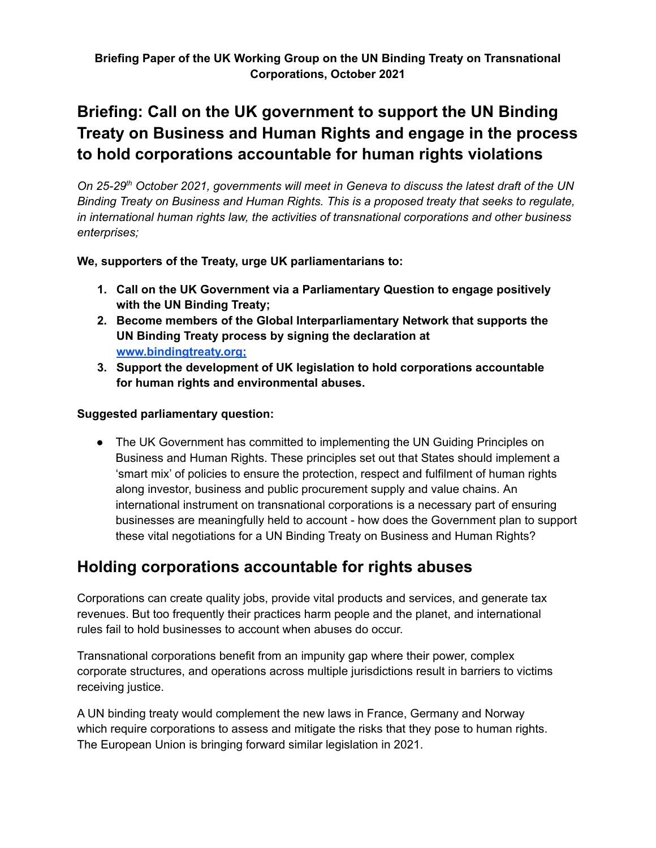# **Briefing: Call on the UK government to support the UN Binding Treaty on Business and Human Rights and engage in the process to hold corporations accountable for human rights violations**

*On 25-29 th October 2021, governments will meet in Geneva to discuss the latest draft of the UN Binding Treaty on Business and Human Rights. This is a proposed treaty that seeks to regulate, in international human rights law, the activities of transnational corporations and other business enterprises;*

**We, supporters of the Treaty, urge UK parliamentarians to:**

- **1. Call on the UK Government via a Parliamentary Question to engage positively with the UN Binding Treaty;**
- **2. Become members of the Global Interparliamentary Network that supports the UN Binding Treaty process by signing the declaration at www.bindingtreaty.org;**
- **3. Support the development of UK legislation to hold corporations accountable for human rights and environmental abuses.**

#### **Suggested parliamentary question:**

• The UK Government has committed to implementing the UN Guiding Principles on Business and Human Rights. These principles set out that States should implement a 'smart mix' of policies to ensure the protection, respect and fulfilment of human rights along investor, business and public procurement supply and value chains. An international instrument on transnational corporations is a necessary part of ensuring businesses are meaningfully held to account - how does the Government plan to support these vital negotiations for a UN Binding Treaty on Business and Human Rights?

### **Holding corporations accountable for rights abuses**

Corporations can create quality jobs, provide vital products and services, and generate tax revenues. But too frequently their practices harm people and the planet, and international rules fail to hold businesses to account when abuses do occur.

Transnational corporations benefit from an impunity gap where their power, complex corporate structures, and operations across multiple jurisdictions result in barriers to victims receiving justice.

A UN binding treaty would complement the new laws in France, Germany and Norway which require corporations to assess and mitigate the risks that they pose to human rights. The European Union is bringing forward similar legislation in 2021.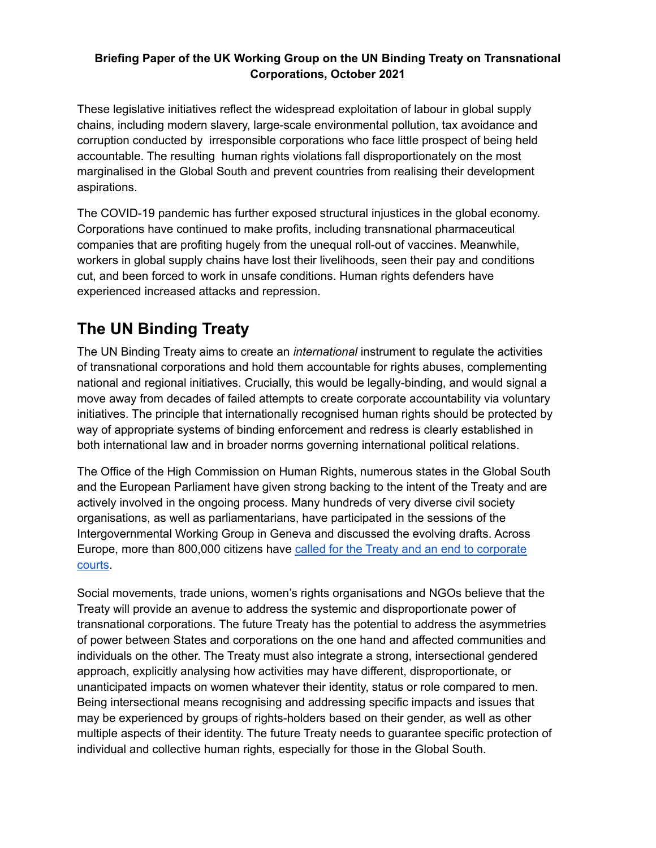#### **Briefing Paper of the UK Working Group on the UN Binding Treaty on Transnational Corporations, October 2021**

These legislative initiatives reflect the widespread exploitation of labour in global supply chains, including modern slavery, large-scale environmental pollution, tax avoidance and corruption conducted by irresponsible corporations who face little prospect of being held accountable. The resulting human rights violations fall disproportionately on the most marginalised in the Global South and prevent countries from realising their development aspirations.

The COVID-19 pandemic has further exposed structural injustices in the global economy. Corporations have continued to make profits, including transnational pharmaceutical companies that are profiting hugely from the unequal roll-out of vaccines. Meanwhile, workers in global supply chains have lost their livelihoods, seen their pay and conditions cut, and been forced to work in unsafe conditions. Human rights defenders have experienced increased attacks and repression.

## **The UN Binding Treaty**

The UN Binding Treaty aims to create an *international* instrument to regulate the activities of transnational corporations and hold them accountable for rights abuses, complementing national and regional initiatives. Crucially, this would be legally-binding, and would signal a move away from decades of failed attempts to create corporate accountability via voluntary initiatives. The principle that internationally recognised human rights should be protected by way of appropriate systems of binding enforcement and redress is clearly established in both international law and in broader norms governing international political relations.

The Office of the High Commission on Human Rights, numerous states in the Global South and the European Parliament have given strong backing to the intent of the Treaty and are actively involved in the ongoing process. Many hundreds of very diverse civil society organisations, as well as parliamentarians, have participated in the sessions of the Intergovernmental Working Group in Geneva and discussed the evolving drafts. Across Europe, more than 800,000 citizens have called for the Treaty and an end to [corporate](https://stopisds.org/) [courts.](https://stopisds.org/)

Social movements, trade unions, women's rights organisations and NGOs believe that the Treaty will provide an avenue to address the systemic and disproportionate power of transnational corporations. The future Treaty has the potential to address the asymmetries of power between States and corporations on the one hand and affected communities and individuals on the other. The Treaty must also integrate a strong, intersectional gendered approach, explicitly analysing how activities may have different, disproportionate, or unanticipated impacts on women whatever their identity, status or role compared to men. Being intersectional means recognising and addressing specific impacts and issues that may be experienced by groups of rights-holders based on their gender, as well as other multiple aspects of their identity. The future Treaty needs to guarantee specific protection of individual and collective human rights, especially for those in the Global South.